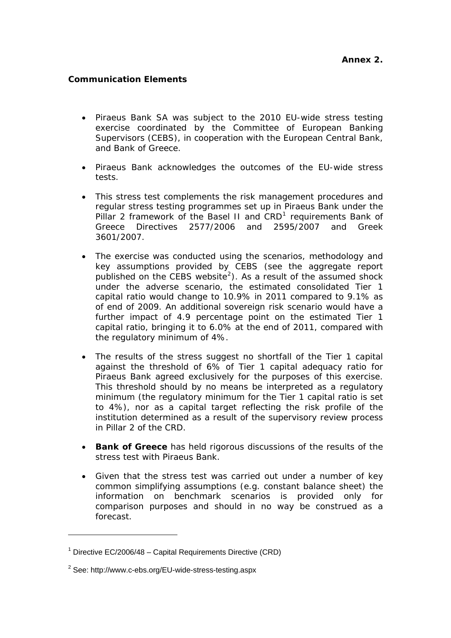## **Communication Elements**

- Piraeus Bank SA was subject to the 2010 EU-wide stress testing exercise coordinated by the Committee of European Banking Supervisors (CEBS), in cooperation with the European Central Bank, and Bank of Greece.
- Piraeus Bank acknowledges the outcomes of the EU-wide stress tests.
- This stress test complements the risk management procedures and regular stress testing programmes set up in Piraeus Bank under the Pillar 2 framework of the Basel II and CRD<sup>[1](#page-0-0)</sup> requirements Bank of Greece Directives 2577/2006 and 2595/2007 and Greek 3601/2007.
- The exercise was conducted using the scenarios, methodology and key assumptions provided by CEBS (see the aggregate report published on the CEBS website<sup>[2](#page-0-1)</sup>). As a result of the assumed shock under the adverse scenario, the estimated consolidated Tier 1 capital ratio would change to 10.9% in 2011 compared to 9.1% as of end of 2009. An additional sovereign risk scenario would have a further impact of 4.9 percentage point on the estimated Tier 1 capital ratio, bringing it to 6.0% at the end of 2011, compared with the regulatory minimum of 4%.
- The results of the stress suggest no shortfall of the Tier 1 capital against the threshold of 6% of Tier 1 capital adequacy ratio for Piraeus Bank agreed exclusively for the purposes of this exercise. This threshold should by no means be interpreted as a regulatory minimum (the regulatory minimum for the Tier 1 capital ratio is set to 4%), nor as a capital target reflecting the risk profile of the institution determined as a result of the supervisory review process in Pillar 2 of the CRD.
- **Bank of Greece** has held rigorous discussions of the results of the stress test with Piraeus Bank.
- Given that the stress test was carried out under a number of key common simplifying assumptions (e.g. constant balance sheet) the information on benchmark scenarios is provided only for comparison purposes and should in no way be construed as a forecast.

<span id="page-0-0"></span><sup>&</sup>lt;sup>1</sup> Directive EC/2006/48 – Capital Requirements Directive (CRD)

<span id="page-0-1"></span> $2$  See: http://www.c-ebs.org/EU-wide-stress-testing.aspx